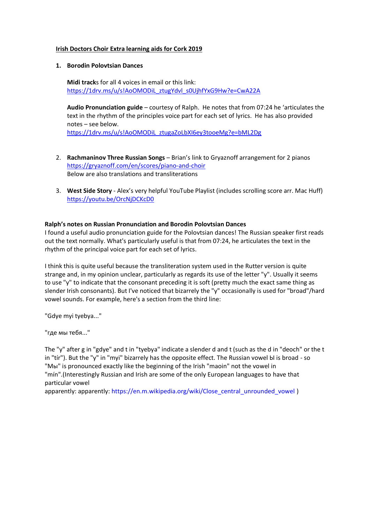#### **Irish Doctors Choir Extra learning aids for Cork 2019**

## **1. Borodin Polovtsian Dances**

**Midi track**s for all 4 voices in email or this link: [https://1drv.ms/u/s!AoOMODiL\\_ztugYdvl\\_s0UjhfYxG9Hw?e=CwA22A](https://1drv.ms/u/s!AoOMODiL_ztugYdvl_s0UjhfYxG9Hw?e=CwA22A)

**Audio Pronunciation guide** – courtesy of Ralph. He notes that from 07:24 he 'articulates the text in the rhythm of the principles voice part for each set of lyrics. He has also provided notes – see below. [https://1drv.ms/u/s!AoOMODiL\\_ztugaZoLbXI6ey3tooeMg?e=bML2Dg](https://1drv.ms/u/s!AoOMODiL_ztugaZoLbXI6ey3tooeMg?e=bML2Dg)

- 2. **Rachmaninov Three Russian Songs**  Brian's link to Gryaznoff arrangement for 2 pianos <https://gryaznoff.com/en/scores/piano-and-choir> Below are also translations and transliterations
- 3. **West Side Story** Alex's very helpful YouTube Playlist (includes scrolling score arr. Mac Huff) <https://youtu.be/OrcNjDCKcD0>

## **Ralph's notes on Russian Pronunciation and Borodin Polovtsian Dances**

I found a useful audio pronunciation guide for the Polovtsian dances! The Russian speaker first reads out the text normally. What's particularly useful is that from 07:24, he articulates the text in the rhythm of the principal voice part for each set of lyrics.

I think this is quite useful because the transliteration system used in the Rutter version is quite strange and, in my opinion unclear, particularly as regards its use of the letter "y". Usually it seems to use "y" to indicate that the consonant preceding it is soft (pretty much the exact same thing as slender Irish consonants). But I've noticed that bizarrely the "y" occasionally is used for "broad"/hard vowel sounds. For example, here's a section from the third line:

"Gdye myi tyebya..."

"где мы тебя..."

The "y" after g in "gdye" and t in "tyebya" indicate a slender d and t (such as the d in "deoch" or the t in "tír"). But the "y" in "myi" bizarrely has the opposite effect. The Russian vowel Ы is broad - so "Мы" is pronounced exactly like the beginning of the Irish "maoin" not the vowel in "mín".(Interestingly Russian and Irish are some of the only European languages to have that particular vowel

apparently: apparently: [https://en.m.wikipedia.org/wiki/Close\\_central\\_unrounded\\_vowel](https://en.m.wikipedia.org/wiki/Close_central_unrounded_vowel) )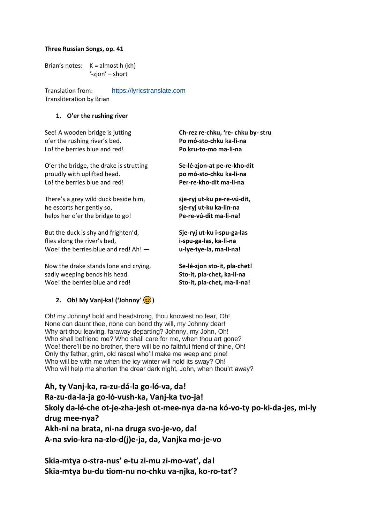## **Three Russian Songs, op. 41**

Brian's notes:  $K =$  almost h (kh) '-zjon' – short

Translation from: [https://lyricstranslate.com](https://lyricstranslate.com/en/%D1%82%D1%80%D0%B8-%D1%80%D1%83%D1%81%D1%81%D0%BA%D0%B8%D0%B5-%D0%BF%D0%B5%D1%81%D0%BD%D0%B8-op41-ii-%D0%B0%D1%85%D1%8A-%D1%82%D1%8B-%D0%B2%D0%B0%D0%BD%D1%8C%D0%BA%D0%B0-%D1%80%D0%B0%D0%B7%D1%83%D0%B4%D0%B0%D0%BB%D0%B0-%D0%B3%D0%BE.html) Transliteration by Brian

## **1. O'er the rushing river**

o'er the rushing river's bed. **Po mó-sto-chku ka-li-na** Lo! the berries blue and red! **Po kru-to-mo ma-li-na**

O'er the bridge, the drake is strutting **Se-lé-zjon-at pe-re-kho-dit**  proudly with uplifted head. **po mó-sto-chku ka-li-na** Lo! the berries blue and red! **Per-re-kho-dit ma-li-na**

There's a grey wild duck beside him, **sje-ryj ut-ku pe-re-vú-dit,** he escorts her gently so, **sje-ryj ut-ku ka-lin-na** helps her o'er the bridge to go!

But the duck is shy and frighten'd, **Sje-ryj ut-ku i-spu-ga-las** flies along the river's bed, **i-spu-ga-las, ka-li-na** Woe! the berries blue and red! Ah! — **u-lye-tye-la, ma-li-na!**

Now the drake stands lone and crying, **Se-lé-zjon sto-it, pla-chet!** sadly weeping bends his head. **Sto-it, pla-chet, ka-li-na** Woe! the berries blue and red! **Sto-it, pla-chet, ma-li-na!**

# **2. Oh! My Vanj-ka! ('Johnny' )**

Oh! my Johnny! bold and headstrong, thou knowest no fear, Oh! None can daunt thee, none can bend thy will, my Johnny dear! Why art thou leaving, faraway departing? Johnny, my John, Oh! Who shall befriend me? Who shall care for me, when thou art gone? Woe! there'll be no brother, there will be no faithful friend of thine, Oh! Only thy father, grim, old rascal who'll make me weep and pine! Who will be with me when the icy winter will hold its sway? Oh! Who will help me shorten the drear dark night, John, when thou'rt away?

**Ah, ty Vanj-ka, ra-zu-dá-la go-ló-va, da! Ra-zu-da-la-ja go-ló-vush-ka, Vanj-ka tvo-ja! Skoly da-lé-che ot-je-zha-jesh ot-mee-nya da-na kó-vo-ty po-ki-da-jes, mi-ly drug mee-nya? Akh-ni na brata, ni-na druga svo-je-vo, da! A-na svio-kra na-zlo-d(j)e-ja, da, Vanjka mo-je-vo**

**Skia-mtya o-stra-nus' e-tu zi-mu zi-mo-vat', da! Skia-mtya bu-du tiom-nu no-chku va-njka, ko-ro-tat'?**

See! A wooden bridge is jutting **Ch-rez re-chku, 're- chku by- stru**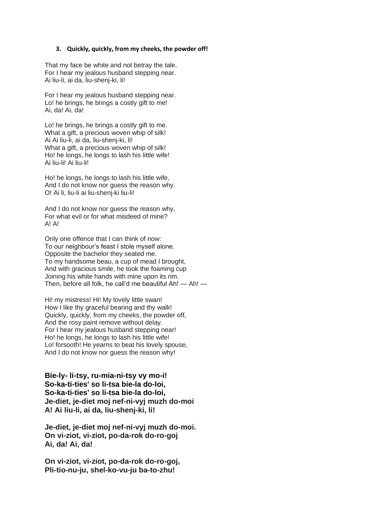#### **3. Quickly, quickly, from my cheeks, the powder off!**

That my face be white and not betray the tale. For I hear my jealous husband stepping near. Ai liu-li, ai da, liu-shenj-ki, li!

For I hear my jealous husband stepping near. Lo! he brings, he brings a costly gift to me! Ai, da! Ai, da!

Lo! he brings, he brings a costly gift to me. What a gift, a precious woven whip of silk! Ai Ai liu-li, ai da, liu-shenj-ki, li! What a gift, a precious woven whip of silk! Ho! he longs, he longs to lash his little wife! Ai liu-li! Ai liu-li!

Ho! he longs, he longs to lash his little wife, And I do not know nor guess the reason why. O! Ai li, liu-li ai liu-shenj-ki liu-li!

And I do not know nor guess the reason why, For what evil or for what misdeed of mine?  $AI$   $AI$ 

Only one offence that I can think of now: To our neighbour's feast I stole myself alone. Opposite the bachelor they seated me. To my handsome beau, a cup of mead I brought, And with gracious smile, he took the foaming cup Joining his white hands with mine upon its rim. Then, before all folk, he call'd me beautiful Ah! — Ah! —

Hi! my mistress! Hi! My lovely little swan! How I like thy graceful bearing and thy walk! Quickly, quickly, from my cheeks, the powder off, And the rosy paint remove without delay. For I hear my jealous husband stepping near! Ho! he longs, he longs to lash his little wife! Lo! forsooth! He yearns to beat his lovely spouse, And I do not know nor guess the reason why!

**Bie-ly- li-tsy, ru-mia-ni-tsy vy mo-i! So-ka-ti-ties' so li-tsa bie-la do-loi, So-ka-ti-ties' so li-tsa bie-la do-loi, Je-diet, je-diet moj nef-ni-vyj muzh do-moi A! Ai liu-li, ai da, liu-shenj-ki, li!**

**Je-diet, je-diet moj nef-ni-vyj muzh do-moi. On vi-ziot, vi-ziot, po-da-rok do-ro-goj Ai, da! Ai, da!**

**On vi-ziot, vi-ziot, po-da-rok do-ro-goj, Pli-tio-nu-ju, shel-ko-vu-ju ba-to-zhu!**